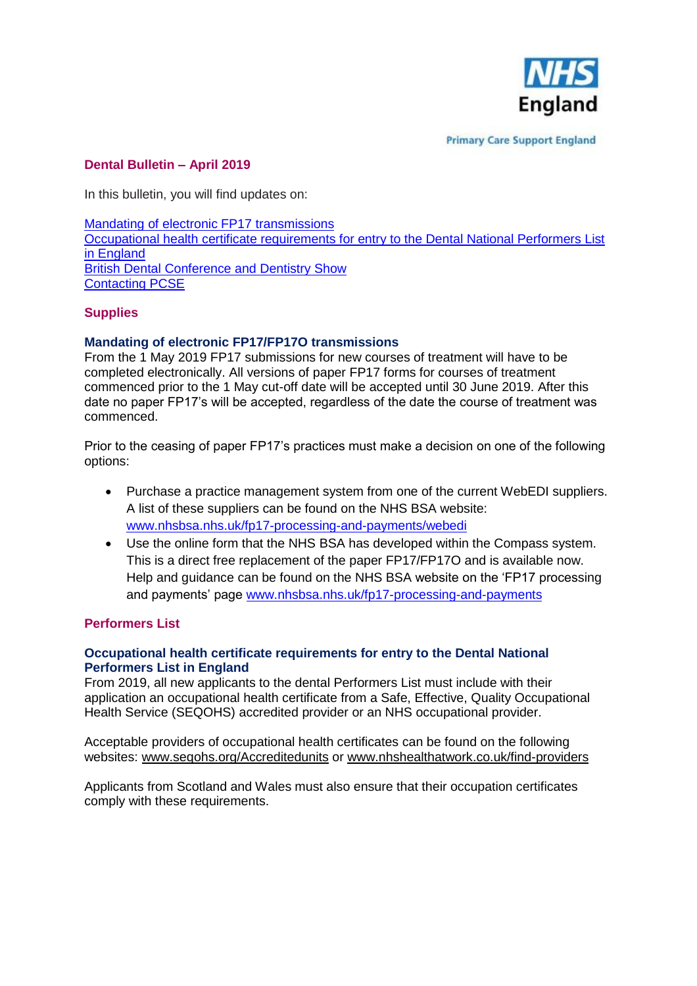

**Primary Care Support England** 

# **Dental Bulletin – April 2019**

In this bulletin, you will find updates on:

[Mandating of electronic FP17 transmissions](#page-0-0) [Occupational health certificate requirements for entry to the Dental National Performers List](#page-0-1)  [in England](#page-0-1) [British Dental Conference and Dentistry Show](#page-0-2) Contacting PCSE

## **Supplies**

### <span id="page-0-0"></span>**Mandating of electronic FP17/FP17O transmissions**

From the 1 May 2019 FP17 submissions for new courses of treatment will have to be completed electronically. All versions of paper FP17 forms for courses of treatment commenced prior to the 1 May cut-off date will be accepted until 30 June 2019. After this date no paper FP17's will be accepted, regardless of the date the course of treatment was commenced.

Prior to the ceasing of paper FP17's practices must make a decision on one of the following options:

- Purchase a practice management system from one of the current WebEDI suppliers. A list of these suppliers can be found on the NHS BSA website: [www.nhsbsa.nhs.uk/fp17-processing-and-payments/webedi](http://www.nhsbsa.nhs.uk/fp17-processing-and-payments/webedi)
- Use the online form that the NHS BSA has developed within the Compass system. This is a direct free replacement of the paper FP17/FP17O and is available now. Help and guidance can be found on the NHS BSA website on the 'FP17 processing and payments' page [www.nhsbsa.nhs.uk/fp17-processing-and-payments](http://www.nhsbsa.nhs.uk/fp17-processing-and-payments)

## **Performers List**

#### <span id="page-0-1"></span>**Occupational health certificate requirements for entry to the Dental National Performers List in England**

From 2019, all new applicants to the dental Performers List must include with their application an occupational health certificate from a Safe, Effective, Quality Occupational Health Service (SEQOHS) accredited provider or an NHS occupational provider.

Acceptable providers of occupational health certificates can be found on the following websites: [www.seqohs.org/Accreditedunits](http://www.seqohs.org/Accreditedunits) or [www.nhshealthatwork.co.uk/find-providers](http://www.nhshealthatwork.co.uk/find-providers)

<span id="page-0-2"></span>Applicants from Scotland and Wales must also ensure that their occupation certificates comply with these requirements.